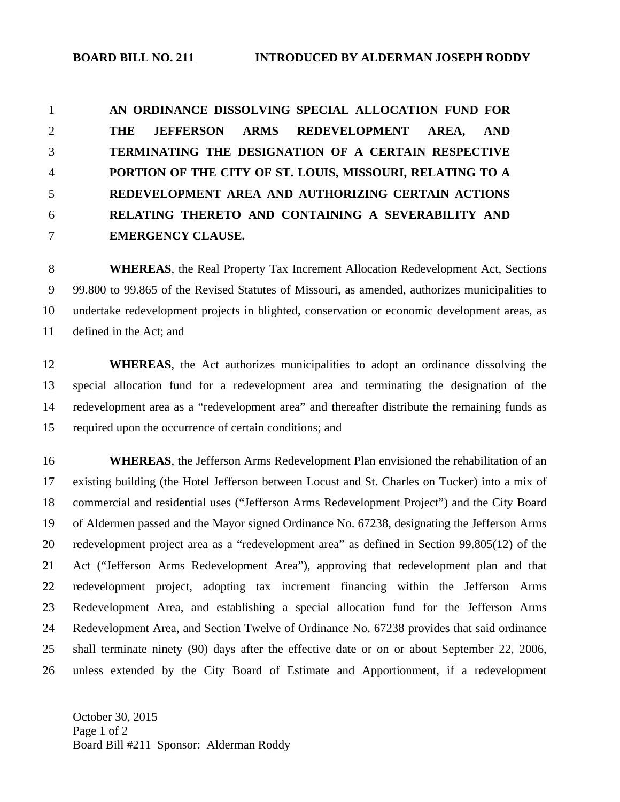**AN ORDINANCE DISSOLVING SPECIAL ALLOCATION FUND FOR THE JEFFERSON ARMS REDEVELOPMENT AREA, AND TERMINATING THE DESIGNATION OF A CERTAIN RESPECTIVE PORTION OF THE CITY OF ST. LOUIS, MISSOURI, RELATING TO A REDEVELOPMENT AREA AND AUTHORIZING CERTAIN ACTIONS RELATING THERETO AND CONTAINING A SEVERABILITY AND EMERGENCY CLAUSE.** 

8 **WHEREAS**, the Real Property Tax Increment Allocation Redevelopment Act, Sections 9 99.800 to 99.865 of the Revised Statutes of Missouri, as amended, authorizes municipalities to 10 undertake redevelopment projects in blighted, conservation or economic development areas, as 11 defined in the Act; and

12 **WHEREAS**, the Act authorizes municipalities to adopt an ordinance dissolving the 13 special allocation fund for a redevelopment area and terminating the designation of the 14 redevelopment area as a "redevelopment area" and thereafter distribute the remaining funds as 15 required upon the occurrence of certain conditions; and

16 **WHEREAS**, the Jefferson Arms Redevelopment Plan envisioned the rehabilitation of an 17 existing building (the Hotel Jefferson between Locust and St. Charles on Tucker) into a mix of 18 commercial and residential uses ("Jefferson Arms Redevelopment Project") and the City Board 19 of Aldermen passed and the Mayor signed Ordinance No. 67238, designating the Jefferson Arms 20 redevelopment project area as a "redevelopment area" as defined in Section 99.805(12) of the 21 Act ("Jefferson Arms Redevelopment Area"), approving that redevelopment plan and that 22 redevelopment project, adopting tax increment financing within the Jefferson Arms 23 Redevelopment Area, and establishing a special allocation fund for the Jefferson Arms 24 Redevelopment Area, and Section Twelve of Ordinance No. 67238 provides that said ordinance 25 shall terminate ninety (90) days after the effective date or on or about September 22, 2006, 26 unless extended by the City Board of Estimate and Apportionment, if a redevelopment

October 30, 2015 Page 1 of 2 Board Bill #211 Sponsor: Alderman Roddy